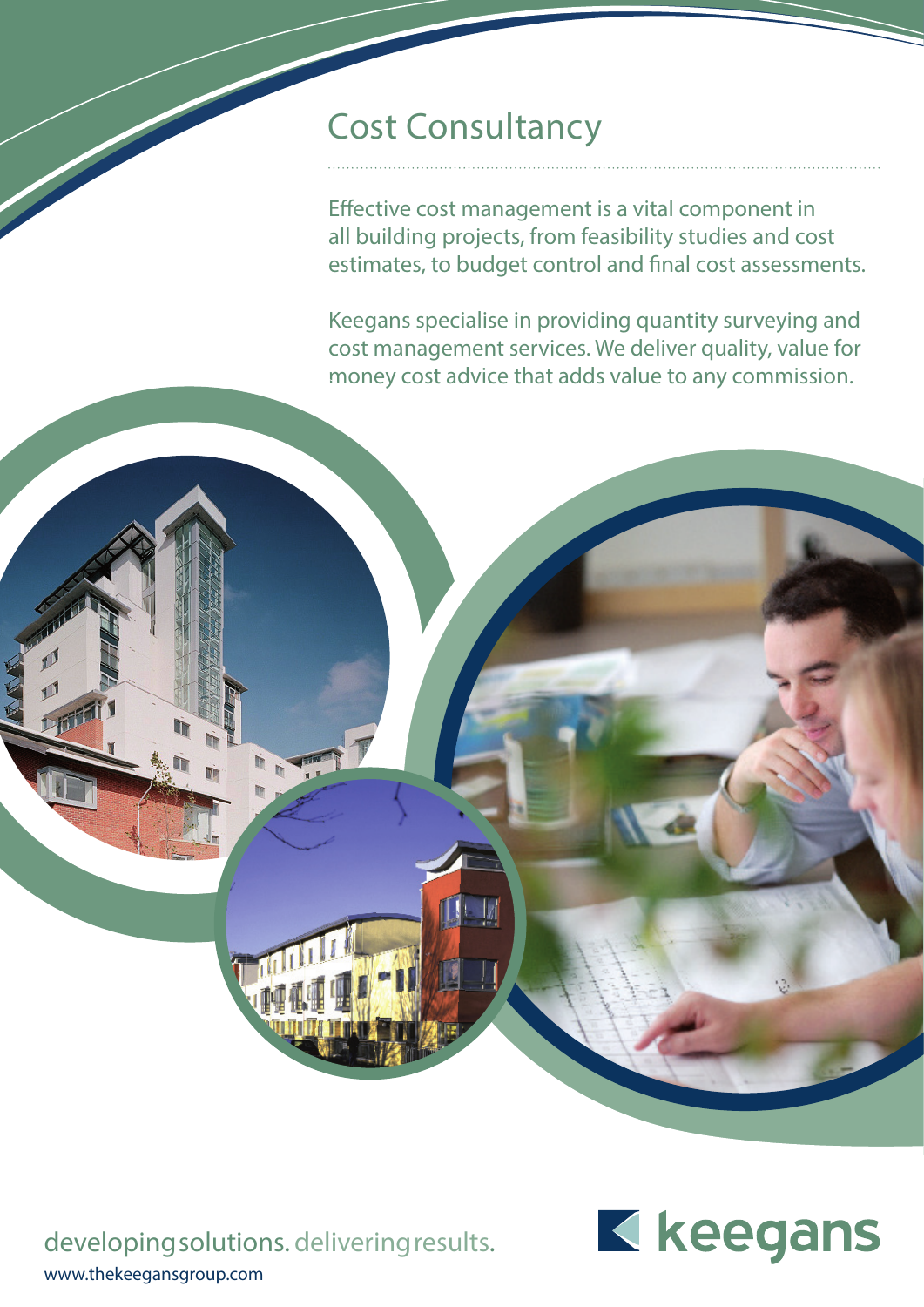## Cost Consultancy

Effective cost management is a vital component in all building projects, from feasibility studies and cost estimates, to budget control and final cost assessments.

Keegans specialise in providing quantity surveying and cost management services. We deliver quality, value for money cost advice that adds value to any commission.

developing solutions. delivering results. www.thekeegansgroup.com